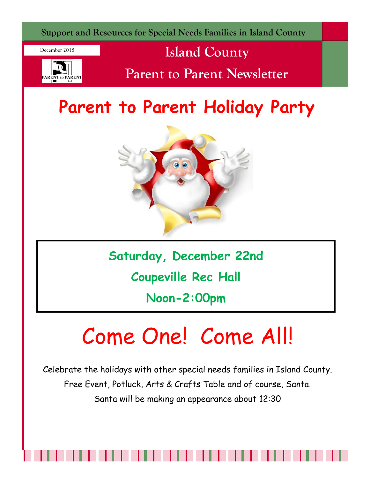

December 2018



## **Island County**

**Parent to Parent Newsletter**

# **Parent to Parent Holiday Party**



**Saturday, December 22nd**

**Coupeville Rec Hall**

**Noon-2:00pm**

# Come One! Come All!

Celebrate the holidays with other special needs families in Island County. Free Event, Potluck, Arts & Crafts Table and of course, Santa. Santa will be making an appearance about 12:30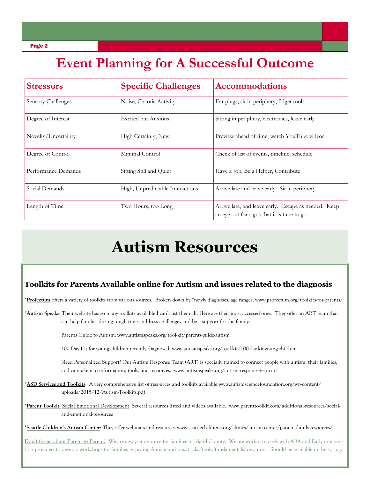## **Event Planning for A Successful Outcome**

| <b>Stressors</b>    | <b>Specific Challenges</b>       | <b>Accommodations</b>                                                                               |
|---------------------|----------------------------------|-----------------------------------------------------------------------------------------------------|
| Sensory Challenges  | Noise, Chaotic Activity          | Ear plugs, sit in periphery, fidget tools                                                           |
| Degree of Interest  | <b>Excited but Anxious</b>       | Sitting in periphery, electronics, leave early                                                      |
| Novelty/Uncertainty | High Certainty, New              | Preview ahead of time, watch YouTube videos                                                         |
| Degree of Control   | Minimal Control                  | Check of list of events, timeline, schedule                                                         |
| Performance Demands | Sitting Still and Quiet          | Have a Job, Be a Helper, Contribute                                                                 |
| Social Demands      | High, Unpredictable Interactions | Arrive late and leave early. Sit in periphery                                                       |
| Length of Time      | Two Hours, too Long              | Arrive late, and leave early. Escape as needed. Keep<br>an eye out for signs that it is time to go. |

## **Autism Resources**

### **Toolkits for Parents Available online for Autism and issues related to the diagnosis**

\***Profectum** offers a variety of toolkits from various sources. Broken down by \*newly diagnoses, age ranges, www.profectum.org/toolkits-for-parents/

\***Autism Speaks**: Their website has so many toolkits available I can't list them all. Here are their most accessed ones. They offer an ART team that can help families during tough times, address challenges and be a support for the family.

Parents Guide to Autism: www.autismspeaks.org/tool-kit/parents-guide-autism

100 Day Kit for young children recently diagnosed www.autismspeaks.org/tool-kit/100-day-kit-young-children

 Need Personalized Support? Our Autism Response Team (ART) is specially trained to connect people with autism, their families, and caretakers to information, tools, and resources. www.autismspeaks.org/autism-response-team-art

\***ASD Services and Toolkits**: A very comprehensive list of resources and toolkits available www.autismsciencefoundation.org/wp-content/ uploads/2015/12/Autism-Toolkits.pdf

**\*Parent Toolkit:** Social Emotional Development Several resources listed and videos available. www.parenttoolkit.com/additional-resources/social and-emotional-resources

\***Seattle Children's Autism Center**: They offer webinars and resources www.seattlechildrens.org/clinics/autism-center/patient-family-resources/

**Don't forget about Parent to Parent!** We are always a resource for families in Island County. We are working closely with ABA and Early intervention providers to develop workshops for families regarding Autism and tips/tricks/tools/fundamentals/resources. Should be available in the spring.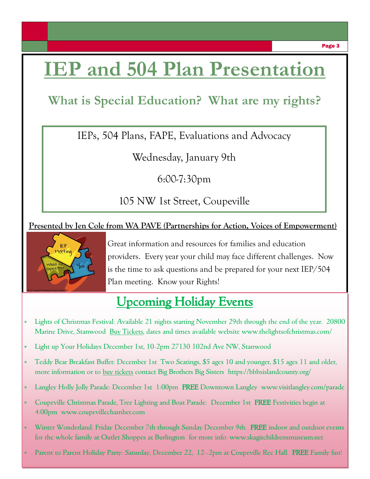# **IEP and 504 Plan Presentation**

## **What is Special Education? What are my rights?**

IEPs, 504 Plans, FAPE, Evaluations and Advocacy

Wednesday, January 9th

6:00-7:30pm

105 NW 1st Street, Coupeville

### **Presented by Jen Cole from WA PAVE (Partnerships for Action, Voices of Empowerment)**



Great information and resources for families and education providers. Every year your child may face different challenges. Now is the time to ask questions and be prepared for your next IEP/504 Plan meeting. Know your Rights!

## Upcoming Holiday Events

- Lights of Christmas Festival: Available 21 nights starting November 29th through the end of the year. 20800 Marine Drive, Stanwood Buy Tickets, dates and times available website www.thelightsofchristmas.com/
- Light up Your Holidays December 1st, 10-2pm 27130 102nd Ave NW, Stanwood
- Teddy Bear Breakfast Buffet: December 1st Two Seatings, \$5 ages 10 and younger, \$15 ages 11 and older, more information or to buy tickets contact Big Brothers Big Sisters https://bbbsislandcounty.org/
- Langley Holly Jolly Parade: December 1st 1:00pm FREE Downtown Langley www.visitlangley.com/parade
- \* Coupeville Christmas Parade, Tree Lighting and Boat Parade: December 1st FREE Festivities begin at 4:00pm www.coupevillechamber.com
- Winter Wonderland: Friday December 7th through Sunday December 9th. FREE indoor and outdoor events for the whole family at Outlet Shoppes at Burlington for more info: www.skagitchildrensmuseum.net
- Parent to Parent Holiday Party: Saturday, December 22, 12--2pm at Coupeville Rec Hall. FREE Family fun!